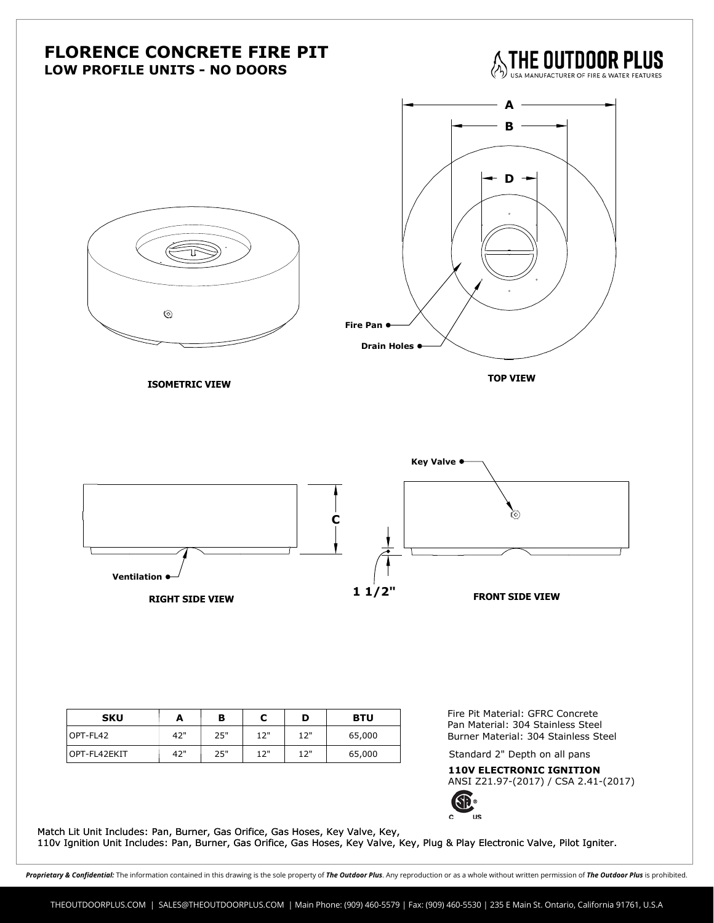

Proprietary & Confidential: The information contained in this drawing is the sole property of The Outdoor Plus. Any reproduction or as a whole without written permission of The Outdoor Plus is prohibited.